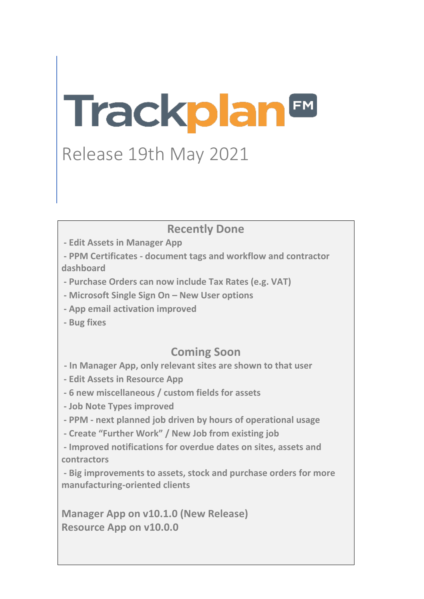# **Trackplan<sup>EM</sup>**

# Release 19th May 2021

## **Recently Done**

**- Edit Assets in Manager App**

**- PPM Certificates - document tags and workflow and contractor dashboard**

- **- Purchase Orders can now include Tax Rates (e.g. VAT)**
- **- Microsoft Single Sign On – New User options**
- **- App email activation improved**
- **- Bug fixes**

## **Coming Soon**

- **- In Manager App, only relevant sites are shown to that user**
- **- Edit Assets in Resource App**
- **- 6 new miscellaneous / custom fields for assets**
- **- Job Note Types improved**
- **- PPM - next planned job driven by hours of operational usage**
- **- Create "Further Work" / New Job from existing job**
- **- Improved notifications for overdue dates on sites, assets and contractors**
- **- Big improvements to assets, stock and purchase orders for more manufacturing-oriented clients**

**Manager App on v10.1.0 (New Release) Resource App on v10.0.0**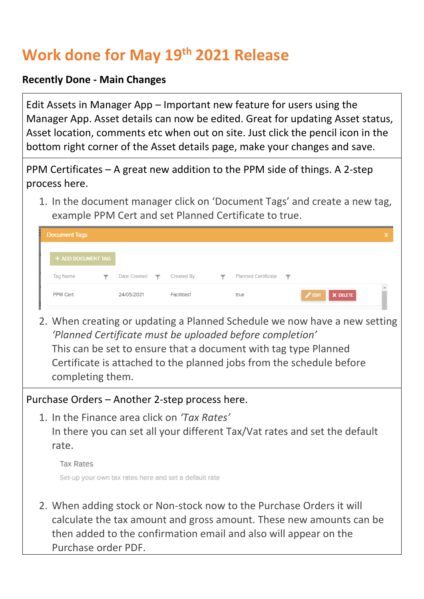# **Work done for May 19th 2021 Release**

#### **Recently Done - Main Changes**

Edit Assets in Manager App – Important new feature for users using the Manager App. Asset details can now be edited. Great for updating Asset status, Asset location, comments etc when out on site. Just click the pencil icon in the bottom right corner of the Asset details page, make your changes and save.

PPM Certificates – A great new addition to the PPM side of things. A 2-step process here.

1. In the document manager click on 'Document Tags' and create a new tag, example PPM Cert and set Planned Certificate to true.

| <b>Document Tags</b> |                                      |             |   |                     |                         |                             | ×        |
|----------------------|--------------------------------------|-------------|---|---------------------|-------------------------|-----------------------------|----------|
| + ADD DOCUMENT TAG   |                                      |             |   |                     |                         |                             |          |
| Tag Name             | Date Created $\overline{\mathbf{Y}}$ | Created By  | ▼ | Planned Certificate | $\overline{\mathbf{v}}$ |                             |          |
| PPM Cert             | 24/05/2021                           | Facilities1 |   | true                |                         | $\sqrt{2}$ EDIT<br>X DELETE | $\Delta$ |

2. When creating or updating a Planned Schedule we now have a new setting *'Planned Certificate must be uploaded before completion'* This can be set to ensure that a document with tag type Planned Certificate is attached to the planned jobs from the schedule before completing them.

Purchase Orders – Another 2-step process here.

1. In the Finance area click on *'Tax Rates'* In there you can set all your different Tax/Vat rates and set the default

rate.

**Tax Rates** Set-up your own tax rates here and set a default rate

2. When adding stock or Non-stock now to the Purchase Orders it will calculate the tax amount and gross amount. These new amounts can be then added to the confirmation email and also will appear on the Purchase order PDF.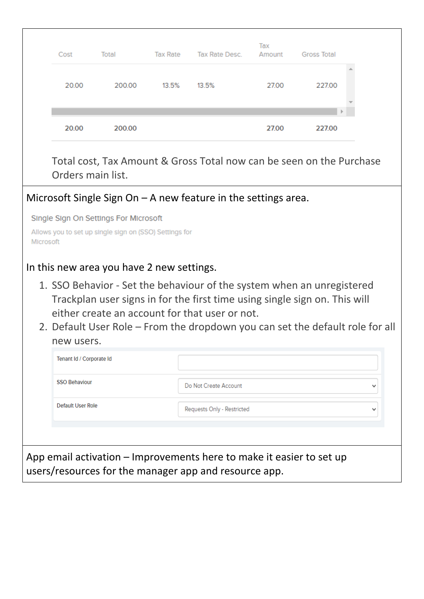| Cost  | Total  | <b>Tax Rate</b> | Tax Rate Desc. | Tax<br>Amount | <b>Gross Total</b> |
|-------|--------|-----------------|----------------|---------------|--------------------|
| 20.00 | 200.00 | 13.5%           | 13.5%          | 27.00         | 227.00             |
|       |        |                 |                |               | $\  \cdot \ $      |
| 20.00 | 200.00 |                 |                | 27.00         | 227.00             |

Total cost, Tax Amount & Gross Total now can be seen on the Purchase Orders main list.

#### Microsoft Single Sign On – A new feature in the settings area.

Single Sign On Settings For Microsoft

| Allows you to set up single sign on (SSO) Settings for |  |  |  |  |
|--------------------------------------------------------|--|--|--|--|
| Microsoft                                              |  |  |  |  |

#### In this new area you have 2 new settings.

- 1. SSO Behavior Set the behaviour of the system when an unregistered Trackplan user signs in for the first time using single sign on. This will either create an account for that user or not.
- 2. Default User Role From the dropdown you can set the default role for all new users.

| Tenant Id / Corporate Id                              |                                                                      |             |
|-------------------------------------------------------|----------------------------------------------------------------------|-------------|
| <b>SSO Behaviour</b>                                  | Do Not Create Account                                                | $\check{ }$ |
| Default User Role                                     | Requests Only - Restricted                                           | $\check{ }$ |
|                                                       |                                                                      |             |
| users/resources for the manager app and resource app. | App email activation – Improvements here to make it easier to set up |             |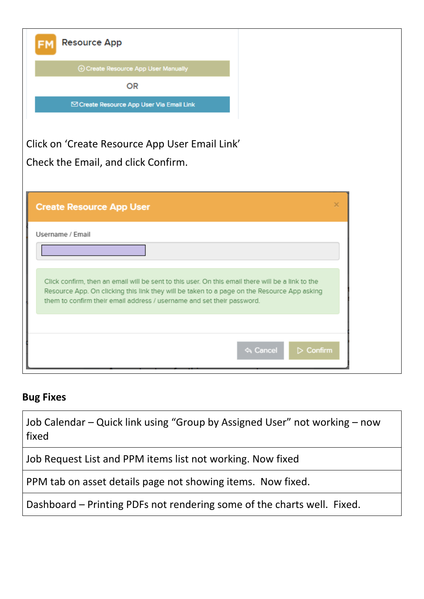| <b>Resource App</b>                                                                                                                                                                                                                                                        |   |
|----------------------------------------------------------------------------------------------------------------------------------------------------------------------------------------------------------------------------------------------------------------------------|---|
| <b>4 Create Resource App User Manually</b>                                                                                                                                                                                                                                 |   |
| <b>OR</b>                                                                                                                                                                                                                                                                  |   |
| ⊠ Create Resource App User Via Email Link                                                                                                                                                                                                                                  |   |
|                                                                                                                                                                                                                                                                            |   |
| Click on 'Create Resource App User Email Link'                                                                                                                                                                                                                             |   |
| Check the Email, and click Confirm.                                                                                                                                                                                                                                        |   |
|                                                                                                                                                                                                                                                                            |   |
| <b>Create Resource App User</b>                                                                                                                                                                                                                                            | × |
| Username / Email                                                                                                                                                                                                                                                           |   |
|                                                                                                                                                                                                                                                                            |   |
|                                                                                                                                                                                                                                                                            |   |
| Click confirm, then an email will be sent to this user. On this email there will be a link to the<br>Resource App. On clicking this link they will be taken to a page on the Resource App asking<br>them to confirm their email address / username and set their password. |   |
|                                                                                                                                                                                                                                                                            |   |
| <b>A</b> Cancel<br>$\triangleright$ Confirm                                                                                                                                                                                                                                |   |

### **Bug Fixes**

Job Calendar – Quick link using "Group by Assigned User" not working – now fixed

Job Request List and PPM items list not working. Now fixed

PPM tab on asset details page not showing items. Now fixed.

Dashboard – Printing PDFs not rendering some of the charts well. Fixed.